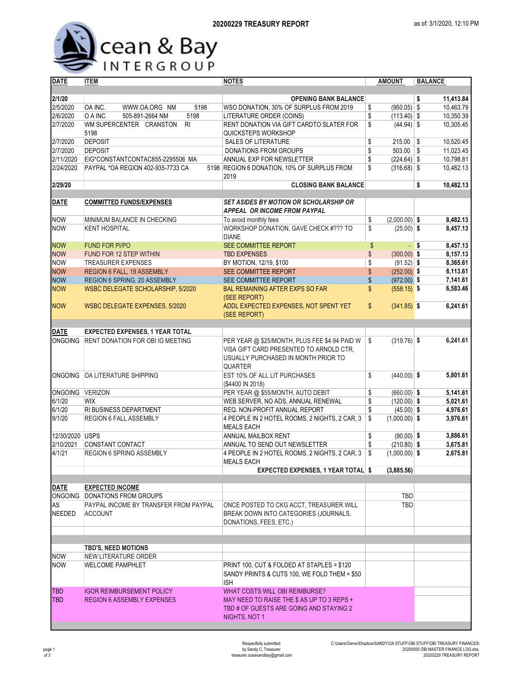

| <b>DATE</b>     | <b>ITEM</b>                              | <b>NOTES</b>                                  | <b>AMOUNT</b>         | <b>BALANCE</b>   |
|-----------------|------------------------------------------|-----------------------------------------------|-----------------------|------------------|
|                 |                                          |                                               |                       |                  |
| 2/1/20          |                                          | <b>OPENING BANK BALANCE</b>                   |                       | \$<br>11,413.84  |
| 2/5/2020        | OA INC.<br>5198<br>WWW.OA.ORG NM         | WSO DONATION, 30% OF SURPLUS FROM 2019        | $(950.05)$ \$<br>\$   | 10,463.79        |
| 2/6/2020        | O A INC<br>5198<br>505-891-2664 NM       | LITERATURE ORDER (COINS)                      | \$<br>$(113.40)$ \$   | 10,350.39        |
| 2/7/2020        | WM SUPERCENTER CRANSTON<br><b>RI</b>     | RENT DONATION VIA GIFT CARDTO SLATER FOR      | \$<br>$(44.94)$ \$    | 10.305.45        |
|                 | 5198                                     | QUICKSTEPS WORKSHOP                           |                       |                  |
| 2/7/2020        | <b>DEPOSIT</b>                           | <b>SALES OF LITERATURE</b>                    | \$<br>$215.00$ \$     | 10,520.45        |
| 2/7/2020        | <b>DEPOSIT</b>                           | <b>DONATIONS FROM GROUPS</b>                  | \$<br>$503.00$ \$     | 11,023.45        |
| 2/11/2020       | EIG*CONSTANTCONTAC855-2295506 MA         | ANNUAL EXP FOR NEWSLETTER                     | \$<br>$(224.64)$ \$   | 10,798.81        |
| 2/24/2020       | PAYPAL *OA REGION 402-935-7733 CA        | 5198 REGION 6 DONATION, 10% OF SURPLUS FROM   | \$<br>$(316.68)$ \$   | 10,482.13        |
|                 |                                          | 2019                                          |                       |                  |
| 2/29/20         |                                          | <b>CLOSING BANK BALANCE</b>                   |                       | \$<br>10,482.13  |
|                 |                                          |                                               |                       |                  |
| <b>DATE</b>     | <b>COMMITTED FUNDS/EXPENSES</b>          | <b>SET ASIDES BY MOTION OR SCHOLARSHIP OR</b> |                       |                  |
|                 |                                          | APPEAL OR INCOME FROM PAYPAL                  |                       |                  |
| <b>NOW</b>      | MINIMUM BALANCE IN CHECKING              | To avoid monthly fees                         | \$<br>$(2,000.00)$ \$ | 8,482.13         |
| <b>NOW</b>      | <b>KENT HOSPITAL</b>                     | WORKSHOP DONATION, GAVE CHECK #??? TO         | \$<br>$(25.00)$ \$    | 8,457.13         |
|                 |                                          | <b>DIANE</b>                                  |                       |                  |
| <b>NOW</b>      | <b>FUND FOR PI/PO</b>                    | SEE COMMITTEE REPORT                          | $\frac{1}{2}$         | 8.457.13<br>- \$ |
| <b>NOW</b>      | FUND FOR 12 STEP WITHIN                  | <b>TBD EXPENSES</b>                           | \$<br>$(300.00)$ \$   | 8,157.13         |
| <b>NOW</b>      | <b>TREASURER EXPENSES</b>                | BY MOTION, 12/19, \$100                       | \$<br>$(91.52)$ \$    | 8,365.61         |
| <b>NOW</b>      | <b>REGION 6 FALL, 19 ASSEMBLY</b>        | SEE COMMITTEE REPORT                          | \$<br>$(252.00)$ \$   | 8,113.61         |
| <b>NOW</b>      | REGION 6 SPRING, 20 ASSEMBLY             | SEE COMMITTEE REPORT                          | \$<br>$(972.00)$ \$   | 7,141.61         |
| <b>NOW</b>      | WSBC DELEGATE SCHOLARSHIP, 5/2020        | <b>BAL REMAINING AFTER EXPS SO FAR</b>        | \$<br>$(558.15)$ \$   | 6,583.46         |
|                 |                                          | (SEE REPORT)                                  |                       |                  |
| <b>NOW</b>      | WSBC DELEGATE EXPENSES, 5/2020           | ADDL EXPECTED EXPENSES, NOT SPENT YET         | \$<br>$(341.85)$ \$   | 6,241.61         |
|                 |                                          | (SEE REPORT)                                  |                       |                  |
|                 |                                          |                                               |                       |                  |
| <b>DATE</b>     | <b>EXPECTED EXPENSES, 1 YEAR TOTAL</b>   |                                               |                       |                  |
|                 | ONGOING RENT DONATION FOR OBI IG MEETING | PER YEAR @ \$25/MONTH, PLUS FEE \$4.94 PAID W | $(319.76)$ \$<br>\$   | 6,241.61         |
|                 |                                          | VISA GIFT CARD PRESENTED TO ARNOLD CTR.       |                       |                  |
|                 |                                          | USUALLY PURCHASED IN MONTH PRIOR TO           |                       |                  |
|                 |                                          | <b>QUARTER</b>                                |                       |                  |
| <b>ONGOING</b>  | OA LITERATURE SHIPPING                   | EST 10% OF ALL LIT PURCHASES                  | \$<br>$(440.00)$ \$   | 5,801.61         |
|                 |                                          | (\$4400 IN 2018)                              |                       |                  |
| ONGOING VERIZON |                                          | PER YEAR @ \$55/MONTH, AUTO DEBIT             | \$<br>$(660.00)$ \$   | 5,141.61         |
| 6/1/20          | <b>WIX</b>                               | WEB SERVER, NO ADS, ANNUAL RENEWAL            | \$<br>$(120.00)$ \$   | 5,021.61         |
| 6/1/20          | RI BUSINESS DEPARTMENT                   | <b>REQ. NON-PROFIT ANNUAL REPORT</b>          | \$<br>$(45.00)$ \$    | 4,976.61         |
| 9/1/20          | REGION 6 FALL ASSEMBLY                   | 4 PEOPLE IN 2 HOTEL ROOMS, 2 NIGHTS, 2 CAR, 3 | \$<br>$(1,000.00)$ \$ | 3,976.61         |
|                 |                                          | <b>MEALS EACH</b>                             |                       |                  |
| 12/30/2020 USPS |                                          | ANNUAL MAILBOX RENT                           | \$<br>$(90.00)$ \$    | 3,886.61         |
| 2/10/2021       | <b>CONSTANT CONTACT</b>                  | ANNUAL TO SEND OUT NEWSLETTER                 | \$<br>$(210.80)$ \$   | 3,675.81         |
| 4/1/21          | <b>REGION 6 SPRING ASSEMBLY</b>          | 4 PEOPLE IN 2 HOTEL ROOMS, 2 NIGHTS, 2 CAR, 3 | \$<br>$(1,000.00)$ \$ | 2,675.81         |
|                 |                                          | <b>MEALS EACH</b>                             |                       |                  |
|                 |                                          | <b>EXPECTED EXPENSES, 1 YEAR TOTAL \$</b>     | (3,885.56)            |                  |
| <b>DATE</b>     | <b>EXPECTED INCOME</b>                   |                                               |                       |                  |
|                 | ONGOING DONATIONS FROM GROUPS            |                                               | <b>TBD</b>            |                  |
| AS              | PAYPAL INCOME BY TRANSFER FROM PAYPAL    | ONCE POSTED TO CKG ACCT, TREASURER WILL       | <b>TBD</b>            |                  |
| <b>NEEDED</b>   | <b>ACCOUNT</b>                           | BREAK DOWN INTO CATEGORIES (JOURNALS,         |                       |                  |
|                 |                                          | DONATIONS, FEES, ETC.)                        |                       |                  |
|                 |                                          |                                               |                       |                  |
|                 |                                          |                                               |                       |                  |
|                 | <b>TBD'S, NEED MOTIONS</b>               |                                               |                       |                  |
| <b>NOW</b>      | NEW LITERATURE ORDER                     |                                               |                       |                  |
| <b>NOW</b>      | <b>WELCOME PAMPHLET</b>                  | PRINT 100, CUT & FOLDED AT STAPLES = \$120    |                       |                  |
|                 |                                          | SANDY PRINTS & CUTS 100, WE FOLD THEM = \$50  |                       |                  |
|                 |                                          | ISH                                           |                       |                  |
| <b>TBD</b>      | <b>IGOR REIMBURSEMENT POLICY</b>         | WHAT COSTS WILL OBI REIMBURSE?                |                       |                  |
| <b>TBD</b>      | <b>REGION 6 ASSEMBLY EXPENSES</b>        | MAY NEED TO RAISE THE \$ AS UP TO 3 REPS +    |                       |                  |
|                 |                                          | TBD # OF GUESTS ARE GOING AND STAYING 2       |                       |                  |
|                 |                                          | NIGHTS, NOT 1                                 |                       |                  |
|                 |                                          |                                               |                       |                  |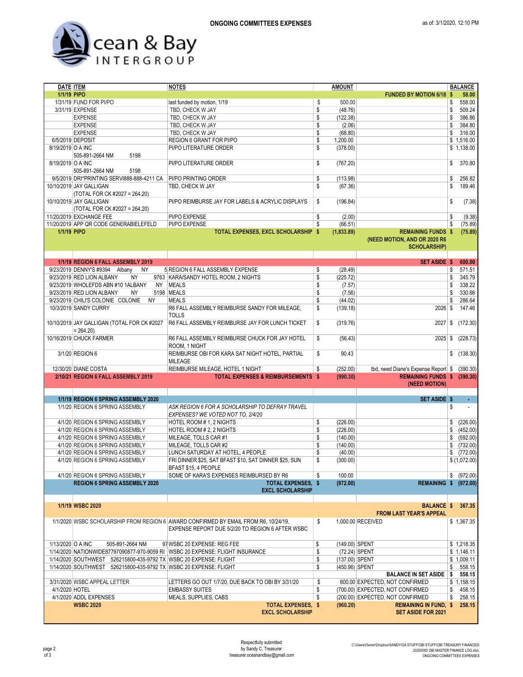

| <b>DATE ITEM</b>  |                                                                   | <b>NOTES</b>                                                                        | <b>AMOUNT</b> |                |                                     |    | <b>BALANCE</b> |
|-------------------|-------------------------------------------------------------------|-------------------------------------------------------------------------------------|---------------|----------------|-------------------------------------|----|----------------|
| 1/1/19 PIPO       |                                                                   |                                                                                     |               |                | <b>FUNDED BY MOTION 6/18 \$</b>     |    | 58.00          |
|                   | 1/31/19 FUND FOR PI/PO                                            | last funded by motion, 1/19                                                         | \$            | 500.00         |                                     | \$ | 558.00         |
|                   | 3/31/19 EXPENSE                                                   | TBD, CHECK W JAY                                                                    | \$            | (48.76)        |                                     | \$ | 509.24         |
|                   | <b>EXPENSE</b>                                                    | TBD, CHECK W JAY                                                                    | \$            | (122.38)       |                                     | \$ | 386.86         |
|                   | <b>EXPENSE</b>                                                    | TBD, CHECK W JAY                                                                    | \$            | (2.06)         |                                     | \$ | 384.80         |
|                   | <b>EXPENSE</b>                                                    | TBD, CHECK W JAY                                                                    | \$            | (68.80)        |                                     | \$ | 316.00         |
|                   | 6/5/2019 DEPOSIT                                                  | REGION 6 GRANT FOR PI/PO                                                            | \$            | 1,200.00       |                                     |    | \$1,516.00     |
|                   |                                                                   |                                                                                     | \$            |                |                                     |    |                |
| 8/19/2019 O A INC |                                                                   | PI/PO LITERATURE ORDER                                                              |               | (378.00)       |                                     |    | \$1,138.00     |
|                   | 505-891-2664 NM<br>5198                                           |                                                                                     |               |                |                                     |    |                |
| 8/19/2019 O A INC |                                                                   | PI/PO LITERATURE ORDER                                                              | \$            | (767.20)       |                                     | \$ | 370.80         |
|                   | 505-891-2664 NM<br>5198                                           |                                                                                     |               |                |                                     |    |                |
|                   | 9/5/2019 DRI*PRINTING SERVI888-888-4211 CA                        | PI/PO PRINTING ORDER                                                                | \$            | (113.98)       |                                     | \$ | 256.82         |
|                   | 10/10/2019 JAY GALLIGAN                                           | TBD, CHECK W JAY                                                                    | \$            | (67.36)        |                                     | \$ | 189.46         |
|                   | (TOTAL FOR CK #2027 = 264.20)                                     |                                                                                     |               |                |                                     |    |                |
|                   | 10/10/2019 JAY GALLIGAN                                           | PI/PO REIMBURSE JAY FOR LABELS & ACRYLIC DISPLAYS                                   | \$            | (196.84)       |                                     | \$ | (7.38)         |
|                   | (TOTAL FOR CK #2027 = 264.20)                                     |                                                                                     |               |                |                                     |    |                |
|                   | 11/20/2019 EXCHANGE FEE                                           | PI/PO EXPENSE                                                                       | \$            | (2.00)         |                                     | \$ | (9.38)         |
|                   |                                                                   |                                                                                     |               |                |                                     |    |                |
|                   | 11/20/2019 APP QR CODE GENERABIELEFELD                            | PI/PO EXPENSE                                                                       | \$            | (66.51)        |                                     | \$ | (75.89)        |
| 1/1/19 PIPO       |                                                                   | TOTAL EXPENSES, EXCL SCHOLARSHIP \$                                                 |               | (1,833.89)     | <b>REMAINING FUNDS \$</b>           |    | (75.89)        |
|                   |                                                                   |                                                                                     |               |                | (NEED MOTION, AND OR 2020 R6        |    |                |
|                   |                                                                   |                                                                                     |               |                | <b>SCHOLARSHIP)</b>                 |    |                |
|                   |                                                                   |                                                                                     |               |                |                                     |    |                |
|                   | 1/1/19 REGION 6 FALL ASSEMBLY 2019                                |                                                                                     |               |                | <b>SET ASIDE \$</b>                 |    | 600.00         |
|                   | 9/23/2019 DENNY'S #9394 Albany<br>NY.                             | 5 REGION 6 FALL ASSEMBLY EXPENSE                                                    | \$            | (28.49)        |                                     | \$ | 571.51         |
|                   | 9/23/2019 RED LION ALBANY<br>ΝY                                   | 9763 KARA/SANDY HOTEL ROOM, 2 NIGHTS                                                | \$            | (225.72)       |                                     | \$ | 345.79         |
|                   | 9/23/2019 WHOLEFDS ABN #10 1ALBANY                                | NY MEALS                                                                            | \$            | (7.57)         |                                     | \$ | 338.22         |
|                   | 9/23/2019 RED LION ALBANY<br><b>NY</b>                            | 5198 MEALS                                                                          | \$            |                |                                     | \$ | 330.66         |
|                   |                                                                   |                                                                                     |               | (7.56)         |                                     |    |                |
|                   | 9/23/2019 CHILI'S COLONIE COLONIE<br>NY                           | <b>MEALS</b>                                                                        | \$            | (44.02)        |                                     | S  | 286.64         |
|                   | 10/3/2019 SANDY CURRY                                             | R6 FALL ASSEMBLY REIMBURSE SANDY FOR MILEAGE,                                       | \$            | (139.18)       | $2026$ \$                           |    | 147.46         |
|                   |                                                                   | <b>TOLLS</b>                                                                        |               |                |                                     |    |                |
|                   | 10/10/2019 JAY GALLIGAN (TOTAL FOR CK #2027                       | R6 FALL ASSEMBLY REIMBURSE JAY FOR LUNCH TICKET                                     | \$            | (319.76)       | 2027                                | \$ | (172.30)       |
|                   | $= 264.20$                                                        |                                                                                     |               |                |                                     |    |                |
|                   | 10/16/2019 CHUCK FARMER                                           | R6 FALL ASSEMBLY REIMBURSE CHUCK FOR JAY HOTEL                                      | \$            | (56.43)        | 2025                                | \$ | (228.73)       |
|                   |                                                                   | ROOM, 1 NIGHT                                                                       |               |                |                                     |    |                |
|                   | 3/1/20 REGION 6                                                   | REIMBURSE OBI FOR KARA SAT NIGHT HOTEL, PARTIAL                                     | \$            | 90.43          |                                     |    | \$(138.30)     |
|                   |                                                                   |                                                                                     |               |                |                                     |    |                |
|                   |                                                                   | <b>MILEAGE</b>                                                                      |               |                |                                     |    |                |
|                   | 12/30/20 DIANE COSTA                                              | REIMBURSE MILEAGE, HOTEL 1 NIGHT                                                    | S             | (252.00)       | tbd, need Diane's Expense Report \$ |    | (390.30)       |
|                   | 2/10/21 REGION 6 FALL ASSEMBLY 2019                               | <b>TOTAL EXPENSES &amp; REIMBURSEMENTS \$</b>                                       |               | (990.30)       | REMAINING FUNDS \$ (390.30)         |    |                |
|                   |                                                                   |                                                                                     |               |                | (NEED MOTION)                       |    |                |
|                   |                                                                   |                                                                                     |               |                |                                     |    |                |
|                   | 1/1/19 REGION 6 SPRING ASSEMBLY 2020                              |                                                                                     |               |                | <b>SET ASIDE \$</b>                 |    | $\blacksquare$ |
|                   | 1/1/20 REGION 6 SPRING ASSEMBLY                                   | ASK REGION 6 FOR A SCHOLARSHIP TO DEFRAY TRAVEL                                     |               |                |                                     | \$ |                |
|                   |                                                                   | EXPENSES? WE VOTED NOT TO, 2/4/20                                                   |               |                |                                     |    |                |
|                   | 4/1/20 REGION 6 SPRING ASSEMBLY                                   | HOTEL ROOM # 1, 2 NIGHTS                                                            | \$            | (226.00)       |                                     | \$ | (226.00)       |
|                   | 4/1/20 REGION 6 SPRING ASSEMBLY                                   |                                                                                     | \$            | (226.00)       |                                     | \$ |                |
|                   |                                                                   | HOTEL ROOM # 2, 2 NIGHTS                                                            |               |                |                                     |    | (452.00)       |
|                   | 4/1/20 REGION 6 SPRING ASSEMBLY                                   | MILEAGE, TOLLS CAR #1                                                               | \$            | (140.00)       |                                     | \$ | (592.00)       |
|                   | 4/1/20 REGION 6 SPRING ASSEMBLY                                   | MILEAGE, TOLLS CAR #2                                                               | \$            | (140.00)       |                                     | \$ | (732.00)       |
|                   | 4/1/20 REGION 6 SPRING ASSEMBLY                                   | LUNCH SATURDAY AT HOTEL, 4 PEOPLE                                                   | \$            | (40.00)        |                                     | \$ | (772.00)       |
|                   | 4/1/20 REGION 6 SPRING ASSEMBLY                                   | FRI DINNER \$25, SAT BFAST \$10, SAT DINNER \$25, SUN                               | \$            | (300.00)       |                                     |    | \$(1,072.00)   |
|                   |                                                                   | BFAST \$15, 4 PEOPLE                                                                |               |                |                                     |    |                |
|                   | 4/1/20 REGION 6 SPRING ASSEMBLY                                   | SOME OF KARA'S EXPENSES REIMBURSED BY R6                                            | \$            | 100.00         |                                     | \$ | (972.00)       |
|                   | <b>REGION 6 SPRING ASSEMBLY 2020</b>                              | <b>TOTAL EXPENSES, \$</b>                                                           |               | (972.00)       | <b>REMAINING \$ (972.00)</b>        |    |                |
|                   |                                                                   | <b>EXCL SCHOLARSHIP</b>                                                             |               |                |                                     |    |                |
|                   |                                                                   |                                                                                     |               |                |                                     |    |                |
|                   | 1/1/19 WSBC 2020                                                  |                                                                                     |               |                | <b>BALANCE \$</b>                   |    | 367.35         |
|                   |                                                                   |                                                                                     |               |                | <b>FROM LAST YEAR'S APPEAL</b>      |    |                |
|                   |                                                                   |                                                                                     |               |                |                                     |    |                |
|                   |                                                                   | 1/1/2020 WSBC SCHOLARSHIP FROM REGION 6 AWARD CONFIRMED BY EMAIL FROM R6, 10/24/19, | \$            |                | 1,000.00 RECEIVED                   |    | \$1,367.35     |
|                   |                                                                   | EXPENSE REPORT DUE 5/2/20 TO REGION 6 AFTER WSBC                                    |               |                |                                     |    |                |
|                   |                                                                   |                                                                                     |               |                |                                     |    |                |
| 1/13/2020 O A INC | 505-891-2664 NM                                                   | 97 WSBC 20 EXPENSE: REG FEE                                                         | \$            | (149.00) SPENT |                                     |    | \$1,218.35     |
|                   |                                                                   | 1/14/2020 NATIONWIDE87797090877-970-9059 RI WSBC 20 EXPENSE: FLIGHT INSURANCE       | \$            |                | (72.24) SPENT                       |    | \$1,146.11     |
|                   | 1/14/2020 SOUTHWEST 526215800-435-9792 TX WSBC 20 EXPENSE: FLIGHT |                                                                                     | \$            | (137.00) SPENT |                                     |    | \$1,009.11     |
|                   | 1/14/2020 SOUTHWEST 526215800-435-9792 TX WSBC 20 EXPENSE: FLIGHT |                                                                                     | \$            | (450.96) SPENT |                                     | \$ | 558.15         |
|                   |                                                                   |                                                                                     |               |                | <b>BALANCE IN SET ASIDE</b>         | \$ | 558.15         |
|                   | 3/31/2020 WSBC APPEAL LETTER                                      | LETTERS GO OUT 1/7/20, DUE BACK TO OBI BY 3/31/20                                   | \$            |                | 600.00 EXPECTED, NOT CONFIRMED      |    | \$1,158.15     |
|                   |                                                                   |                                                                                     |               |                |                                     |    |                |
| 4/1/2020 HOTEL    |                                                                   | <b>EMBASSY SUITES</b>                                                               | \$            |                | (700.00) EXPECTED, NOT CONFIRMED    | \$ | 458.15         |
|                   | 4/1/2020 ADDL EXPENSES                                            | MEALS, SUPPLIES, CABS                                                               | \$            |                | (200.00) EXPECTED, NOT CONFIRMED    | \$ | 258.15         |
|                   | <b>WSBC 2020</b>                                                  | <b>TOTAL EXPENSES, \$</b>                                                           |               | (960.20)       | <b>REMAINING IN FUND. \$</b>        |    | 258.15         |
|                   |                                                                   | <b>EXCL SCHOLARSHIP</b>                                                             |               |                | <b>SET ASIDE FOR 2021</b>           |    |                |
|                   |                                                                   |                                                                                     |               |                |                                     |    |                |